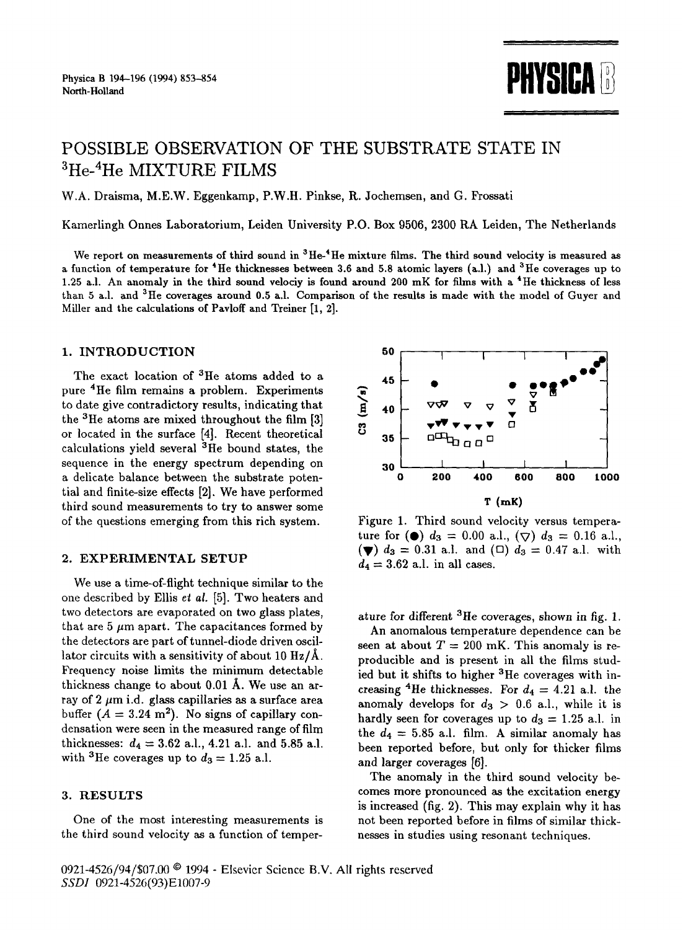

# POSSIBLE OBSERVATION OF THE SUBSTRATE STATE IN **3He-4He MIXTURE FILMS**

W.A. Draisma, M.E.W. Eggenkamp, P.W.H. Pinkse, R. Jochemsen, and G. Frossati

Kamerlingh Onnes Laboratorium, Leiden University P.O. Box 9506, 2300 RA Leiden, The Netherlands

We report on measurements of third sound in  ${}^{3}$ He- ${}^{4}$ He mixture films. The third sound velocity is measured as a function of temperature for  $4$ He thicknesses between 3.6 and 5.8 atomic layers (a.l.) and  $3$ He coverages up to 1.25 a.l. An anomaly in the third sound velociy is found around 200 mK for films with a <sup>4</sup>He thickness of less than 5 a.l. and  ${}^{3}$ He coverages around 0.5 a.l. Comparison of the results is made with the model of Guyer and Miller and the calculations of Pavloff and Treiner [1, 2].

## 1. INTRODUCTION

The exact location of <sup>3</sup>He atoms added to a pure 4He film remains a problem. Experiments to date give contradictory results, indicating that the  ${}^{3}$ He atoms are mixed throughout the film [3] or located in the surface [4]. Recent theoretical calculations yield several  ${}^{3}$ He bound states, the sequence in the energy spectrum depending on a delicate balance between the substrate potential and finite-size effects [2]. We have performed third sound measurements to try to answer some of the questions emerging from this rich system.

## 2. EXPERIMENTAL SETUP

We use a time-of-flight technique similar to the one described by Ellis *et al.* [5]. Two heaters and two detectors are evaporated on two glass plates, that are 5  $\mu$ m apart. The capacitances formed by the detectors are part of tunnel-diode driven oscillator circuits with a sensitivity of about 10  $\rm Hz/\AA$ . Frequency noise limits the minimum detectable thickness change to about  $0.01~\text{\AA}$ . We use an array of  $2 \mu m$  i.d. glass capillaries as a surface area buffer  $(A = 3.24 \text{ m}^2)$ . No signs of capillary condensation were seen in the measured range of film thicknesses:  $d_4 = 3.62$  a.l., 4.21 a.l. and 5.85 a.l. with <sup>3</sup>He coverages up to  $d_3 = 1.25$  a.l.

## **3.** RESULTS

One of the most interesting measurements is the third sound velocity as a function of temper-



Figure 1. Third sound velocity versus temperature for ( $\bullet$ )  $d_3 = 0.00$  a.l.,  $(\nabla) d_3 = 0.16$  a.l.,  $(\blacktriangledown) d_3 = 0.31$  a.l. and  $(\square) d_3 = 0.47$  a.l. with  $d_4 = 3.62$  a.l. in all cases.

ature for different  ${}^{3}$ He coverages, shown in fig. 1.

An anomalous temperature dependence can be seen at about  $T = 200$  mK. This anomaly is reproducible and is present in all the films studied but it shifts to higher <sup>3</sup>He coverages with increasing <sup>4</sup>He thicknesses. For  $d_4 = 4.21$  a.l. the anomaly develops for  $d_3 > 0.6$  a.l., while it is hardly seen for coverages up to  $d_3 = 1.25$  a.l. in the  $d_4 = 5.85$  a.l. film. A similar anomaly has been reported before, but only for thicker films and larger coverages [6].

The anomaly in the third sound velocity becomes more pronounced as the excitation energy is increased (fig. 2). This may explain why it has not been reported before in films of similar thicknesses in studies using resonant techniques.